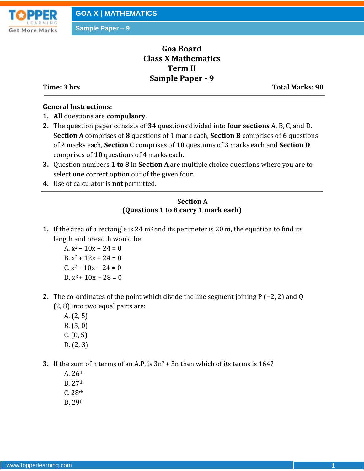

# **Goa Board Class X Mathematics Term II Sample Paper - 9**

**Time: 3 hrs** Total Marks: 90

#### **General Instructions:**

- **1. All** questions are **compulsory**.
- **2.** The question paper consists of **34** questions divided into **four sections** A, B, C, and D. **Section A** comprises of **8** questions of 1 mark each, **Section B** comprises of **6** questions of 2 marks each, **Section C** comprises of **10** questions of 3 marks each and **Section D** comprises of **10** questions of 4 marks each.
- **3.** Question numbers **1 to 8** in **Section A** are multiple choice questions where you are to select **one** correct option out of the given four.
- **4.** Use of calculator is **not** permitted.

#### **Section A (Questions 1 to 8 carry 1 mark each)**

- **1.** If the area of a rectangle is  $24 \text{ m}^2$  and its perimeter is  $20 \text{ m}$ , the equation to find its length and breadth would be:
	- A.  $x^2 10x + 24 = 0$ B.  $x^2$  + 12x + 24 = 0  $C. x^2 - 10x - 24 = 0$  $D. x^2 + 10x + 28 = 0$
- **2.** The co-ordinates of the point which divide the line segment joining P (−2, 2) and Q (2, 8) into two equal parts are:
	- A. (2, 5)
	- B. (5, 0)
	- $C. (0, 5)$
	- D. (2, 3)

**3.** If the sum of n terms of an A.P. is  $3n^2 + 5n$  then which of its terms is 164?

- A. 26th
- B. 27th
- C. 28th
- D. 29th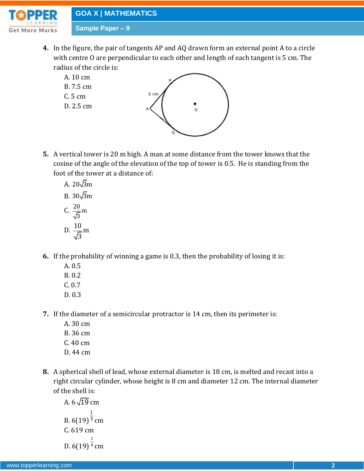

- **4.** In the figure, the pair of tangents AP and AQ drawn form an external point A to a circle with centre O are perpendicular to each other and length of each tangent is 5 cm. The radius of the circle is:
	- A. 10 cm B. 7.5 cm C. 5 cm D. 2.5 cm
- **5.** A vertical tower is 20 m high. A man at some distance from the tower knows that the cosine of the angle of the elevation of the top of tower is 0.5. He is standing from the foot of the tower at a distance of:
	- A. 20√3m B. 30√3m C.  $\frac{20}{5}$ m 3  $D. \frac{10}{\sqrt{m}}$ m 3

**6.** If the probability of winning a game is 0.3, then the probability of losing it is:

- A. 0.5
- B. 0.2
- C. 0.7
- D. 0.3
- **7.** If the diameter of a semicircular protractor is 14 cm, then its perimeter is:
	- A. 30 cm
	- B. 36 cm
	- C. 40 cm
	- D. 44 cm
- **8.** A spherical shell of lead, whose external diameter is 18 cm, is melted and recast into a right circular cylinder, whose height is 8 cm and diameter 12 cm. The internal diameter of the shell is:

A. 
$$
6\sqrt{19}
$$
 cm  
\nB.  $6(19)^{\frac{1}{3}}$  cm  
\nC. 619 cm  
\nD.  $6(19)^{\frac{1}{4}}$  cm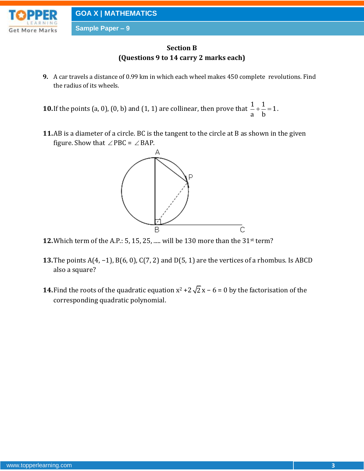

## **Section B (Questions 9 to 14 carry 2 marks each)**

- **9.** A car travels a distance of 0.99 km in which each wheel makes 450 complete revolutions. Find the radius of its wheels.
- **10.** If the points (a, 0), (0, b) and (1, 1) are collinear, then prove that  $\frac{1}{n} + \frac{1}{n} = 1$ a b  $+\frac{1}{x} = 1$ .
- **11.**AB is a diameter of a circle. BC is the tangent to the circle at B as shown in the given figure. Show that  $\angle$  PBC =  $\angle$  BAP.



- **12.**Which term of the A.P.: 5, 15, 25, ..... will be 130 more than the 31st term?
- **13.**The points A(4, −1), B(6, 0), C(7, 2) and D(5, 1) are the vertices of a rhombus. Is ABCD also a square?
- **14.** Find the roots of the quadratic equation  $x^2 + 2\sqrt{2}x 6 = 0$  by the factorisation of the corresponding quadratic polynomial.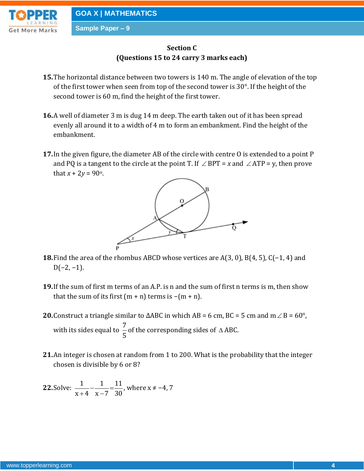

## **Section C (Questions 15 to 24 carry 3 marks each)**

- **15.**The horizontal distance between two towers is 140 m. The angle of elevation of the top of the first tower when seen from top of the second tower is 30°. If the height of the second tower is 60 m, find the height of the first tower.
- **16.**A well of diameter 3 m is dug 14 m deep. The earth taken out of it has been spread evenly all around it to a width of 4 m to form an embankment. Find the height of the embankment.
- **17.**In the given figure, the diameter AB of the circle with centre O is extended to a point P and PQ is a tangent to the circle at the point T. If  $\angle$  BPT = x and  $\angle$  ATP = y, then prove that  $x + 2y = 90^{\circ}$ .



- **18.**Find the area of the rhombus ABCD whose vertices are A(3, 0), B(4, 5), C(−1, 4) and  $D(-2, -1)$ .
- **19.**If the sum of first m terms of an A.P. is n and the sum of first n terms is m, then show that the sum of its first  $(m + n)$  terms is  $-(m + n)$ .
- **20.** Construct a triangle similar to  $\triangle ABC$  in which AB = 6 cm, BC = 5 cm and m  $\angle B$  = 60°, with its sides equal to  $\frac{7}{7}$ 5 of the corresponding sides of  $\triangle$  ABC.
- **21.**An integer is chosen at random from 1 to 200. What is the probability that the integer chosen is divisible by 6 or 8?

**22. Solve:** 
$$
\frac{1}{x+4} - \frac{1}{x-7} = \frac{11}{30}
$$
, where  $x \neq -4, 7$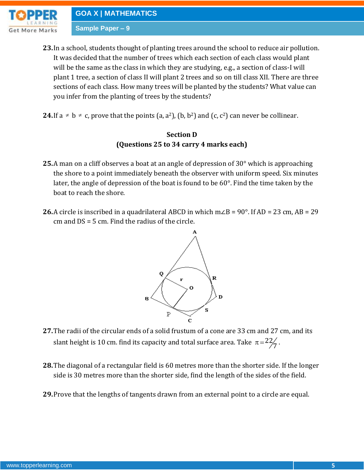- **23.**In a school, students thought of planting trees around the school to reduce air pollution. It was decided that the number of trees which each section of each class would plant will be the same as the class in which they are studying, e.g., a section of class-I will plant 1 tree, a section of class II will plant 2 trees and so on till class XII. There are three sections of each class. How many trees will be planted by the students? What value can you infer from the planting of trees by the students?
- **24.** If a  $\neq$  b  $\neq$  c, prove that the points (a, a<sup>2</sup>), (b, b<sup>2</sup>) and (c, c<sup>2</sup>) can never be collinear.

### **Section D (Questions 25 to 34 carry 4 marks each)**

- **25.**A man on a cliff observes a boat at an angle of depression of 30° which is approaching the shore to a point immediately beneath the observer with uniform speed. Six minutes later, the angle of depression of the boat is found to be 60°. Find the time taken by the boat to reach the shore.
- **26.**A circle is inscribed in a quadrilateral ABCD in which m∠B = 90°. If AD = 23 cm, AB = 29 cm and DS = 5 cm. Find the radius of the circle.



- **27.**The radii of the circular ends of a solid frustum of a cone are 33 cm and 27 cm, and its slant height is 10 cm. find its capacity and total surface area. Take  $\,\pi$  =  $^{22}\!/$  $\pi = \frac{22}{7}$ .
- **28.**The diagonal of a rectangular field is 60 metres more than the shorter side. If the longer side is 30 metres more than the shorter side, find the length of the sides of the field.
- **29.**Prove that the lengths of tangents drawn from an external point to a circle are equal.